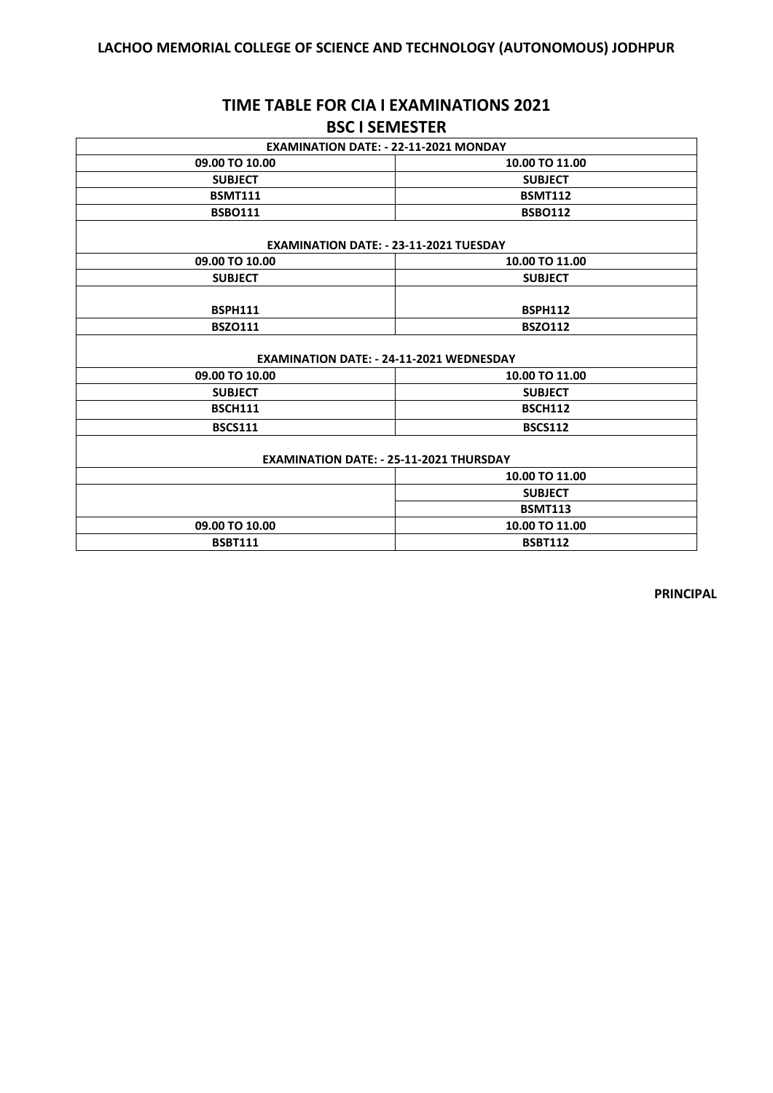## **TIME TABLE FOR CIA I EXAMINATIONS 2021 BSC I SEMESTER**

| <b>EXAMINATION DATE: - 22-11-2021 MONDAY</b>    |                |  |
|-------------------------------------------------|----------------|--|
| 09.00 TO 10.00                                  | 10.00 TO 11.00 |  |
| <b>SUBJECT</b>                                  | <b>SUBJECT</b> |  |
| <b>BSMT111</b>                                  | <b>BSMT112</b> |  |
| <b>BSBO111</b>                                  | <b>BSBO112</b> |  |
| <b>EXAMINATION DATE: - 23-11-2021 TUESDAY</b>   |                |  |
| 09.00 TO 10.00                                  | 10.00 TO 11.00 |  |
| <b>SUBJECT</b>                                  | <b>SUBJECT</b> |  |
| <b>BSPH111</b>                                  | <b>BSPH112</b> |  |
| <b>BSZ0111</b>                                  | <b>BSZO112</b> |  |
| <b>EXAMINATION DATE: - 24-11-2021 WEDNESDAY</b> |                |  |
| 09.00 TO 10.00                                  | 10.00 TO 11.00 |  |
| <b>SUBJECT</b>                                  | <b>SUBJECT</b> |  |
| <b>BSCH111</b>                                  | <b>BSCH112</b> |  |
| <b>BSCS111</b>                                  | <b>BSCS112</b> |  |
| <b>EXAMINATION DATE: - 25-11-2021 THURSDAY</b>  |                |  |
|                                                 | 10.00 TO 11.00 |  |
|                                                 | <b>SUBJECT</b> |  |
|                                                 | <b>BSMT113</b> |  |
| 09.00 TO 10.00                                  | 10.00 TO 11.00 |  |
| <b>BSBT111</b>                                  | <b>BSBT112</b> |  |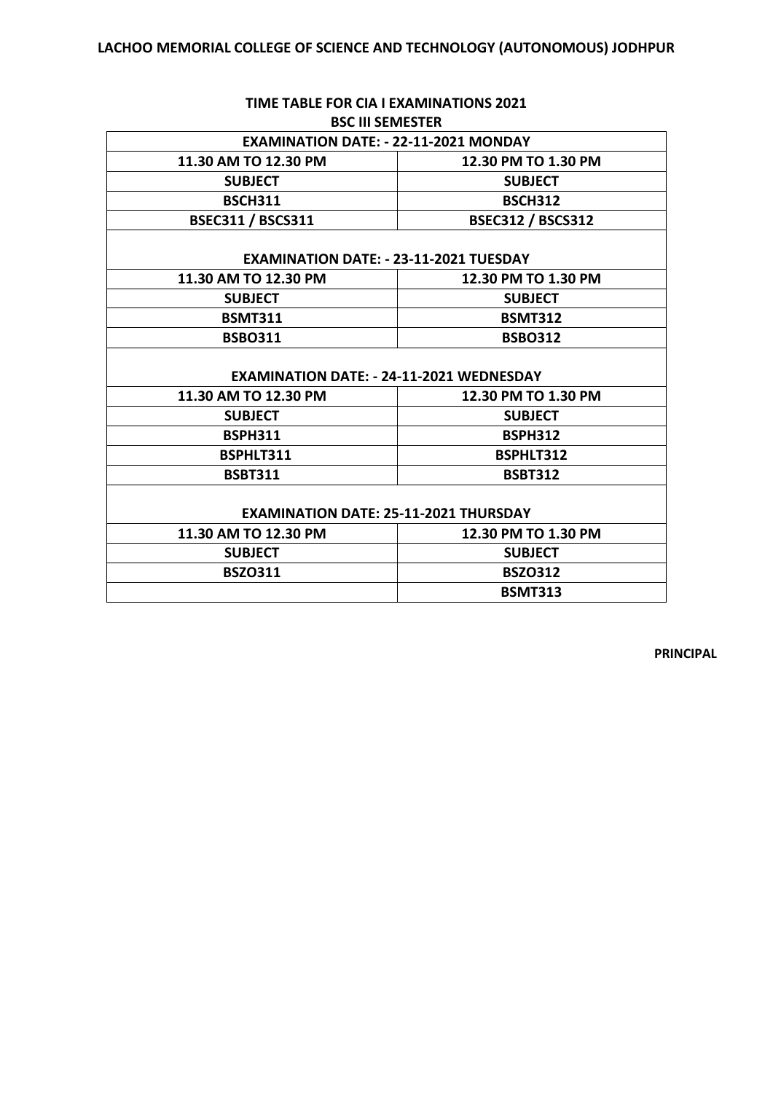| <b>BSC III SEMESTER</b>                         |  |  |
|-------------------------------------------------|--|--|
| <b>EXAMINATION DATE: - 22-11-2021 MONDAY</b>    |  |  |
| 12.30 PM TO 1.30 PM                             |  |  |
| <b>SUBJECT</b>                                  |  |  |
| <b>BSCH312</b>                                  |  |  |
| <b>BSEC312 / BSCS312</b>                        |  |  |
| <b>EXAMINATION DATE: - 23-11-2021 TUESDAY</b>   |  |  |
| 12.30 PM TO 1.30 PM                             |  |  |
| <b>SUBJECT</b>                                  |  |  |
| <b>BSMT312</b>                                  |  |  |
| <b>BSBO312</b>                                  |  |  |
| <b>EXAMINATION DATE: - 24-11-2021 WEDNESDAY</b> |  |  |
| 12.30 PM TO 1.30 PM                             |  |  |
| <b>SUBJECT</b>                                  |  |  |
| <b>BSPH312</b>                                  |  |  |
| BSPHLT312                                       |  |  |
| <b>BSBT312</b>                                  |  |  |
| <b>EXAMINATION DATE: 25-11-2021 THURSDAY</b>    |  |  |
| 12.30 PM TO 1.30 PM                             |  |  |
| <b>SUBJECT</b>                                  |  |  |
| <b>BSZO312</b>                                  |  |  |
| <b>BSMT313</b>                                  |  |  |
|                                                 |  |  |

# **TIME TABLE FOR CIA I EXAMINATIONS 2021**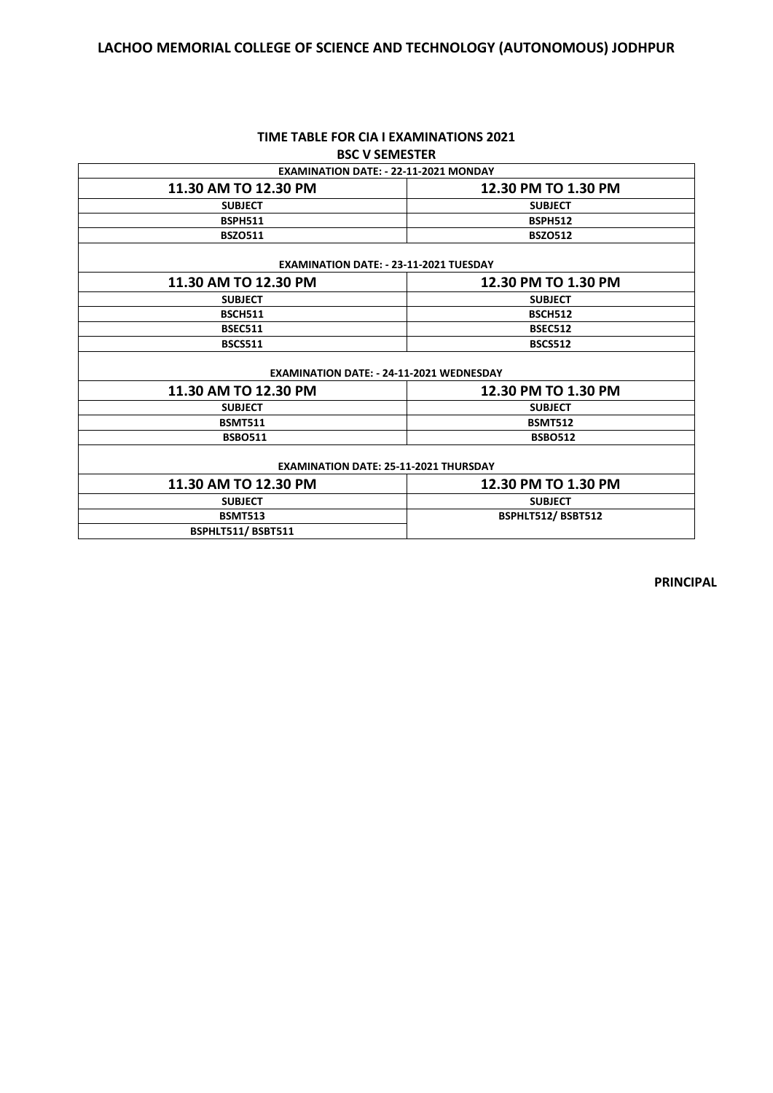## **LACHOO MEMORIAL COLLEGE OF SCIENCE AND TECHNOLOGY (AUTONOMOUS) JODHPUR**

| DJL V JLIVILJ I LIV                             |                     |  |
|-------------------------------------------------|---------------------|--|
| <b>EXAMINATION DATE: - 22-11-2021 MONDAY</b>    |                     |  |
| 11.30 AM TO 12.30 PM                            | 12.30 PM TO 1.30 PM |  |
| <b>SUBJECT</b>                                  | <b>SUBJECT</b>      |  |
| <b>BSPH511</b>                                  | <b>BSPH512</b>      |  |
| <b>BSZO511</b>                                  | <b>BSZO512</b>      |  |
| <b>EXAMINATION DATE: - 23-11-2021 TUESDAY</b>   |                     |  |
| 11.30 AM TO 12.30 PM                            | 12.30 PM TO 1.30 PM |  |
| <b>SUBJECT</b>                                  | <b>SUBJECT</b>      |  |
| <b>BSCH511</b>                                  | <b>BSCH512</b>      |  |
| <b>BSEC511</b>                                  | <b>BSEC512</b>      |  |
| <b>BSCS511</b>                                  | <b>BSCS512</b>      |  |
| <b>EXAMINATION DATE: - 24-11-2021 WEDNESDAY</b> |                     |  |
| 11.30 AM TO 12.30 PM                            | 12.30 PM TO 1.30 PM |  |
| <b>SUBJECT</b>                                  | <b>SUBJECT</b>      |  |
| <b>BSMT511</b>                                  | <b>BSMT512</b>      |  |
| <b>BSBO511</b>                                  | <b>BSBO512</b>      |  |
| <b>EXAMINATION DATE: 25-11-2021 THURSDAY</b>    |                     |  |
| 11.30 AM TO 12.30 PM                            | 12.30 PM TO 1.30 PM |  |
| <b>SUBJECT</b>                                  | <b>SUBJECT</b>      |  |
| <b>BSMT513</b>                                  | BSPHLT512/BSBT512   |  |
| BSPHLT511/BSBT511                               |                     |  |

#### **TIME TABLE FOR CIA I EXAMINATIONS 2021 BSC V SEMESTER**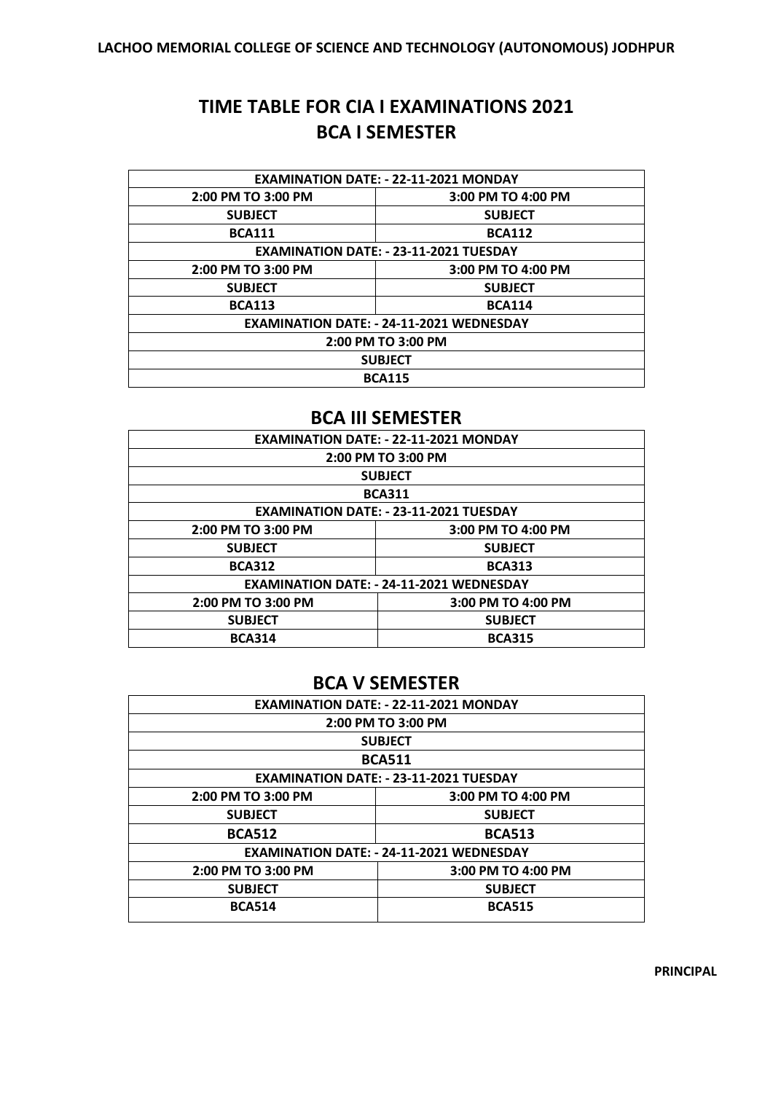## **TIME TABLE FOR CIA I EXAMINATIONS 2021 BCA I SEMESTER**

| <b>EXAMINATION DATE: - 22-11-2021 MONDAY</b>    |                    |  |
|-------------------------------------------------|--------------------|--|
| 2:00 PM TO 3:00 PM                              | 3:00 PM TO 4:00 PM |  |
| <b>SUBJECT</b>                                  | <b>SUBJECT</b>     |  |
| <b>BCA111</b>                                   | <b>BCA112</b>      |  |
| <b>EXAMINATION DATE: - 23-11-2021 TUESDAY</b>   |                    |  |
| 2:00 PM TO 3:00 PM                              | 3:00 PM TO 4:00 PM |  |
| <b>SUBJECT</b>                                  | <b>SUBJECT</b>     |  |
| <b>BCA113</b>                                   | <b>BCA114</b>      |  |
| <b>EXAMINATION DATE: - 24-11-2021 WEDNESDAY</b> |                    |  |
| 2:00 PM TO 3:00 PM                              |                    |  |
| <b>SUBJECT</b>                                  |                    |  |
| <b>BCA115</b>                                   |                    |  |

## **BCA III SEMESTER**

| <b>EXAMINATION DATE: - 22-11-2021 MONDAY</b>    |                    |  |
|-------------------------------------------------|--------------------|--|
| 2:00 PM TO 3:00 PM                              |                    |  |
| <b>SUBJECT</b>                                  |                    |  |
| <b>BCA311</b>                                   |                    |  |
| <b>EXAMINATION DATE: - 23-11-2021 TUESDAY</b>   |                    |  |
| 2:00 PM TO 3:00 PM                              | 3:00 PM TO 4:00 PM |  |
| <b>SUBJECT</b>                                  | <b>SUBJECT</b>     |  |
| <b>BCA312</b>                                   | <b>BCA313</b>      |  |
| <b>EXAMINATION DATE: - 24-11-2021 WEDNESDAY</b> |                    |  |
| 2:00 PM TO 3:00 PM                              | 3:00 PM TO 4:00 PM |  |
| <b>SUBJECT</b>                                  | <b>SUBJECT</b>     |  |
| <b>BCA314</b>                                   | <b>BCA315</b>      |  |

## **BCA V SEMESTER**

| <b>EXAMINATION DATE: - 22-11-2021 MONDAY</b>    |                    |  |
|-------------------------------------------------|--------------------|--|
| 2:00 PM TO 3:00 PM                              |                    |  |
| <b>SUBJECT</b>                                  |                    |  |
| <b>BCA511</b>                                   |                    |  |
| <b>EXAMINATION DATE: - 23-11-2021 TUESDAY</b>   |                    |  |
| 2:00 PM TO 3:00 PM                              | 3:00 PM TO 4:00 PM |  |
| <b>SUBJECT</b>                                  | <b>SUBJECT</b>     |  |
| <b>BCA512</b>                                   | <b>BCA513</b>      |  |
| <b>EXAMINATION DATE: - 24-11-2021 WEDNESDAY</b> |                    |  |
| 2:00 PM TO 3:00 PM                              | 3:00 PM TO 4:00 PM |  |
| <b>SUBJECT</b>                                  | <b>SUBJECT</b>     |  |
| <b>BCA514</b>                                   | <b>BCA515</b>      |  |
|                                                 |                    |  |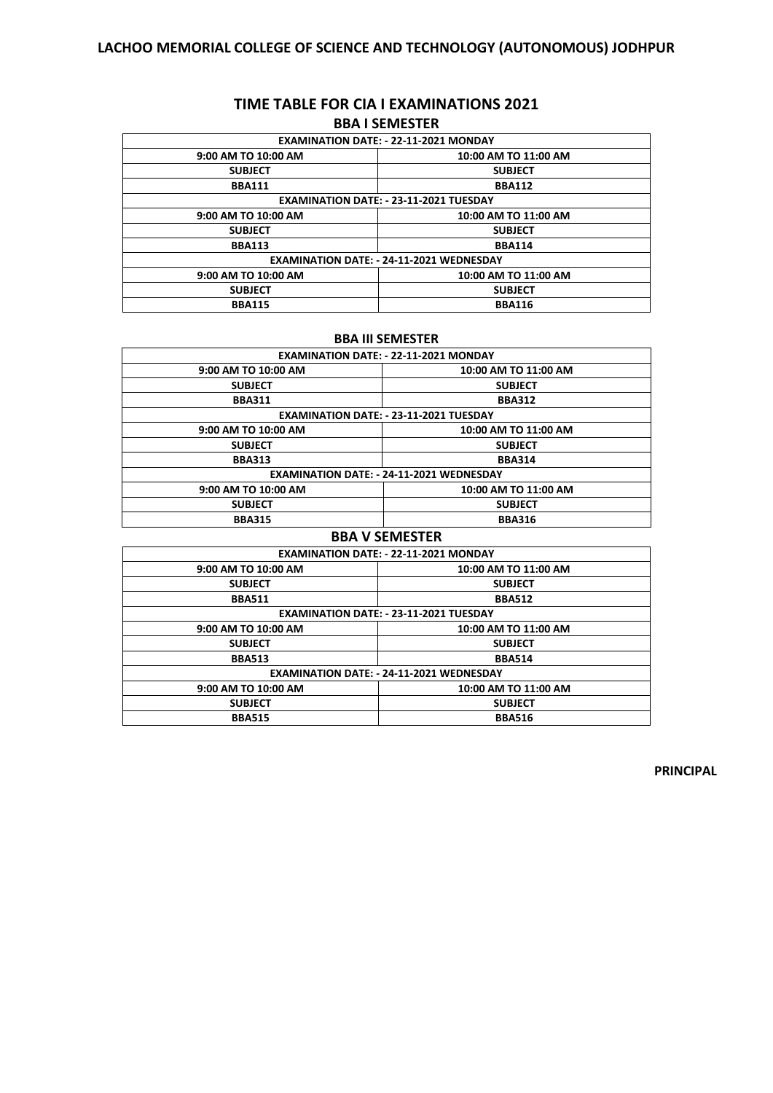#### **TIME TABLE FOR CIA I EXAMINATIONS 2021 BBA I SEMESTER**

| <b>EXAMINATION DATE: - 22-11-2021 MONDAY</b>    |                      |  |
|-------------------------------------------------|----------------------|--|
| 9:00 AM TO 10:00 AM                             | 10:00 AM TO 11:00 AM |  |
| <b>SUBJECT</b>                                  | <b>SUBJECT</b>       |  |
| <b>BBA111</b>                                   | <b>BBA112</b>        |  |
| <b>EXAMINATION DATE: - 23-11-2021 TUESDAY</b>   |                      |  |
| 9:00 AM TO 10:00 AM                             | 10:00 AM TO 11:00 AM |  |
| <b>SUBJECT</b>                                  | <b>SUBJECT</b>       |  |
| <b>BBA113</b>                                   | <b>BBA114</b>        |  |
| <b>EXAMINATION DATE: - 24-11-2021 WEDNESDAY</b> |                      |  |
| 9:00 AM TO 10:00 AM                             | 10:00 AM TO 11:00 AM |  |
| <b>SUBJECT</b>                                  | <b>SUBJECT</b>       |  |
| <b>BBA115</b>                                   | <b>BBA116</b>        |  |

#### **BBA III SEMESTER**

| <b>EXAMINATION DATE: - 22-11-2021 MONDAY</b>    |                      |  |
|-------------------------------------------------|----------------------|--|
| 9:00 AM TO 10:00 AM                             | 10:00 AM TO 11:00 AM |  |
| <b>SUBJECT</b>                                  | <b>SUBJECT</b>       |  |
| <b>BBA311</b>                                   | <b>BBA312</b>        |  |
| EXAMINATION DATE: - 23-11-2021 TUESDAY          |                      |  |
| 9:00 AM TO 10:00 AM                             | 10:00 AM TO 11:00 AM |  |
| <b>SUBJECT</b>                                  | <b>SUBJECT</b>       |  |
| <b>BBA313</b>                                   | <b>BBA314</b>        |  |
| <b>EXAMINATION DATE: - 24-11-2021 WEDNESDAY</b> |                      |  |
| 9:00 AM TO 10:00 AM                             | 10:00 AM TO 11:00 AM |  |
| <b>SUBJECT</b>                                  | <b>SUBJECT</b>       |  |
| <b>BBA315</b>                                   | <b>BBA316</b>        |  |

#### **BBA V SEMESTER**

| <b>EXAMINATION DATE: - 22-11-2021 MONDAY</b>    |                      |  |
|-------------------------------------------------|----------------------|--|
| 9:00 AM TO 10:00 AM                             | 10:00 AM TO 11:00 AM |  |
| <b>SUBJECT</b>                                  | <b>SUBJECT</b>       |  |
| <b>BBA511</b>                                   | <b>BBA512</b>        |  |
| <b>EXAMINATION DATE: - 23-11-2021 TUESDAY</b>   |                      |  |
| 9:00 AM TO 10:00 AM                             | 10:00 AM TO 11:00 AM |  |
| <b>SUBJECT</b>                                  | <b>SUBJECT</b>       |  |
| <b>BBA513</b>                                   | <b>BBA514</b>        |  |
| <b>EXAMINATION DATE: - 24-11-2021 WEDNESDAY</b> |                      |  |
| 9:00 AM TO 10:00 AM                             | 10:00 AM TO 11:00 AM |  |
| <b>SUBJECT</b>                                  | <b>SUBJECT</b>       |  |
| <b>BBA515</b>                                   | <b>BBA516</b>        |  |